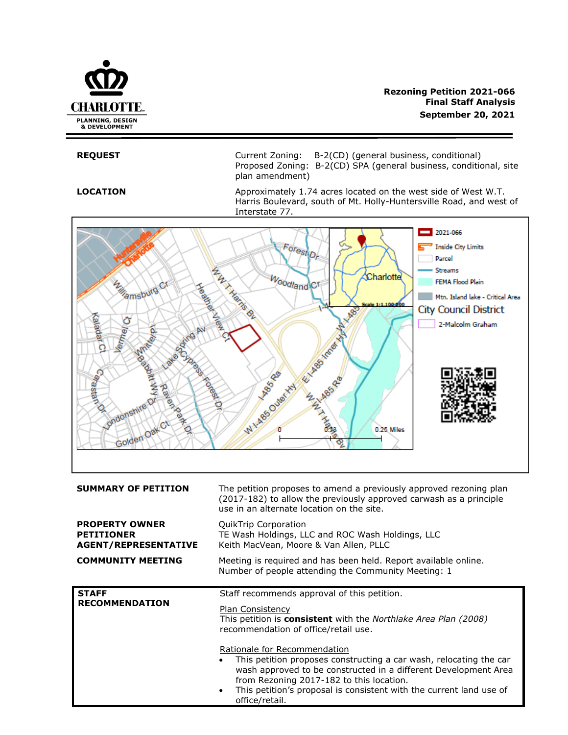

**REQUEST** Current Zoning: B-2(CD) (general business, conditional) Proposed Zoning: B-2(CD) SPA (general business, conditional, site plan amendment)

**LOCATION** Approximately 1.74 acres located on the west side of West W.T. Harris Boulevard, south of Mt. Holly-Huntersville Road, and west of Interstate 77.



from Rezoning 2017-182 to this location. This petition's proposal is consistent with the current land use of office/retail.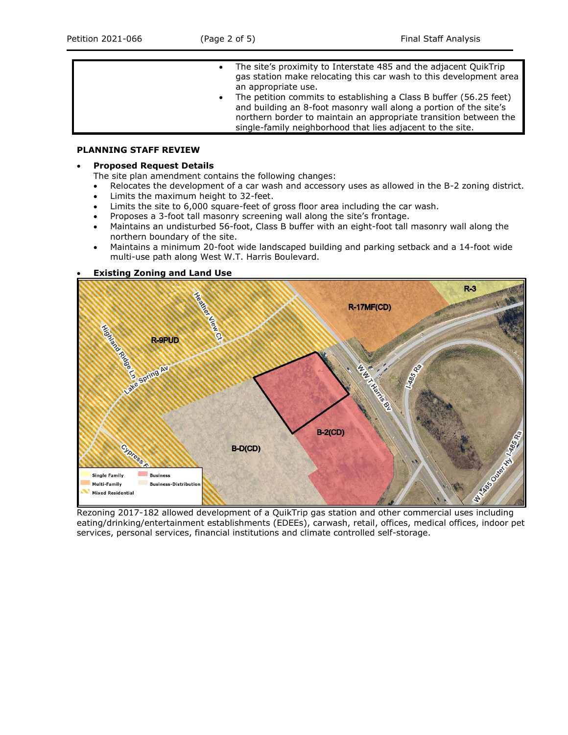- The site's proximity to Interstate 485 and the adjacent QuikTrip gas station make relocating this car wash to this development area an appropriate use.
	- The petition commits to establishing a Class B buffer (56.25 feet) and building an 8-foot masonry wall along a portion of the site's northern border to maintain an appropriate transition between the single-family neighborhood that lies adjacent to the site.

## **PLANNING STAFF REVIEW**

### • **Proposed Request Details**

The site plan amendment contains the following changes:

- Relocates the development of a car wash and accessory uses as allowed in the B-2 zoning district.
- Limits the maximum height to 32-feet.
- Limits the site to 6,000 square-feet of gross floor area including the car wash.
- Proposes a 3-foot tall masonry screening wall along the site's frontage.
- Maintains an undisturbed 56-foot, Class B buffer with an eight-foot tall masonry wall along the northern boundary of the site.
- Maintains a minimum 20-foot wide landscaped building and parking setback and a 14-foot wide multi-use path along West W.T. Harris Boulevard.

### • **Existing Zoning and Land Use**



eating/drinking/entertainment establishments (EDEEs), carwash, retail, offices, medical offices, indoor pet services, personal services, financial institutions and climate controlled self-storage.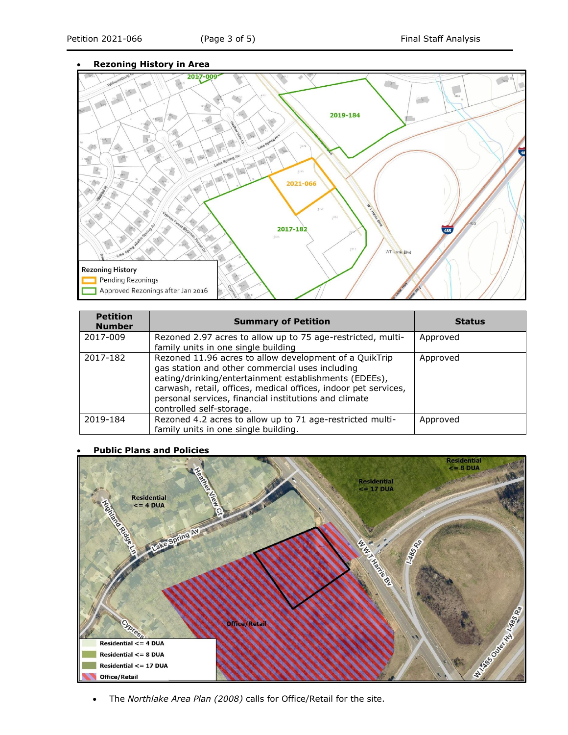# • **Rezoning History in Area**



| <b>Petition</b><br><b>Number</b> | <b>Summary of Petition</b>                                                                                                                                                                                                                                                                                                 | <b>Status</b> |
|----------------------------------|----------------------------------------------------------------------------------------------------------------------------------------------------------------------------------------------------------------------------------------------------------------------------------------------------------------------------|---------------|
| 2017-009                         | Rezoned 2.97 acres to allow up to 75 age-restricted, multi-<br>family units in one single building                                                                                                                                                                                                                         | Approved      |
| 2017-182                         | Rezoned 11.96 acres to allow development of a QuikTrip<br>gas station and other commercial uses including<br>eating/drinking/entertainment establishments (EDEEs),<br>carwash, retail, offices, medical offices, indoor pet services,<br>personal services, financial institutions and climate<br>controlled self-storage. | Approved      |
| 2019-184                         | Rezoned 4.2 acres to allow up to 71 age-restricted multi-<br>family units in one single building.                                                                                                                                                                                                                          | Approved      |

#### • **Public Plans and Policies**



• The *Northlake Area Plan (2008)* calls for Office/Retail for the site.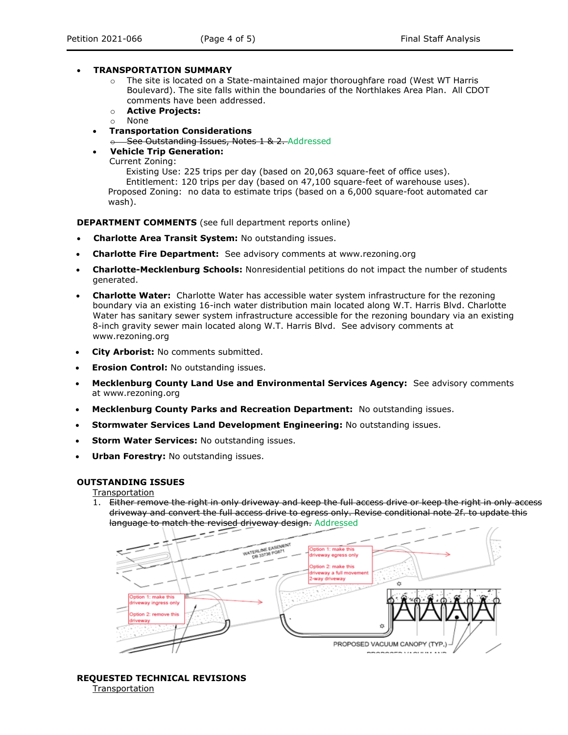## • **TRANSPORTATION SUMMARY**

- $\circ$  The site is located on a State-maintained major thoroughfare road (West WT Harris Boulevard). The site falls within the boundaries of the Northlakes Area Plan. All CDOT comments have been addressed.
- o **Active Projects:**
- o None
- **Transportation Considerations**
	- $\div$  See Outstanding Issues, Notes 1 & 2. Addressed
- **Vehicle Trip Generation:**
	- Current Zoning:

Existing Use: 225 trips per day (based on 20,063 square-feet of office uses). Entitlement: 120 trips per day (based on 47,100 square-feet of warehouse uses). Proposed Zoning: no data to estimate trips (based on a 6,000 square-foot automated car wash).

**DEPARTMENT COMMENTS** (see full department reports online)

- **Charlotte Area Transit System:** No outstanding issues.
- **Charlotte Fire Department:** See advisory comments at www.rezoning.org
- **Charlotte-Mecklenburg Schools:** Nonresidential petitions do not impact the number of students generated.
- **Charlotte Water:** Charlotte Water has accessible water system infrastructure for the rezoning boundary via an existing 16-inch water distribution main located along W.T. Harris Blvd. Charlotte Water has sanitary sewer system infrastructure accessible for the rezoning boundary via an existing 8-inch gravity sewer main located along W.T. Harris Blvd. See advisory comments at www.rezoning.org
- **City Arborist:** No comments submitted.
- **Erosion Control:** No outstanding issues.
- **Mecklenburg County Land Use and Environmental Services Agency:** See advisory comments at www.rezoning.org
- **Mecklenburg County Parks and Recreation Department:** No outstanding issues.
- **Stormwater Services Land Development Engineering:** No outstanding issues.
- **Storm Water Services: No outstanding issues.**
- **Urban Forestry:** No outstanding issues.

## **OUTSTANDING ISSUES**

Transportation

1. Either remove the right in only driveway and keep the full access drive or keep the right in only access driveway and convert the full access drive to egress only. Revise conditional note 2f. to update this language to match the revised driveway design. Addressed



### **REQUESTED TECHNICAL REVISIONS** Transportation